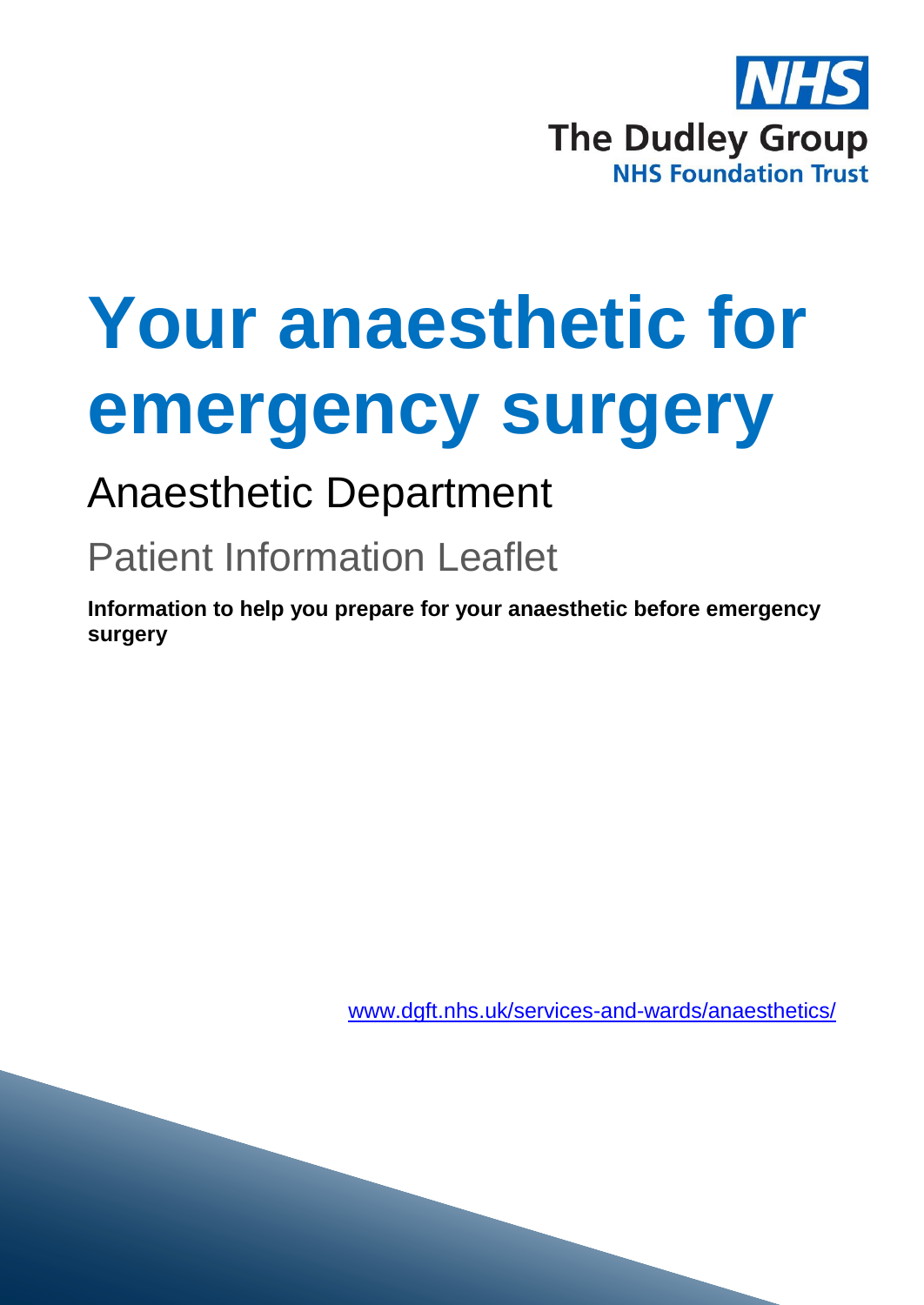

# **Your anaesthetic for emergency surgery**

# Anaesthetic Department

# Patient Information Leaflet

**Information to help you prepare for your anaesthetic before emergency surgery**

[www.dgft.nhs.uk/services-and-wards/anaesthetics/](http://www.dgft.nhs.uk/services-and-wards/anaesthetics/)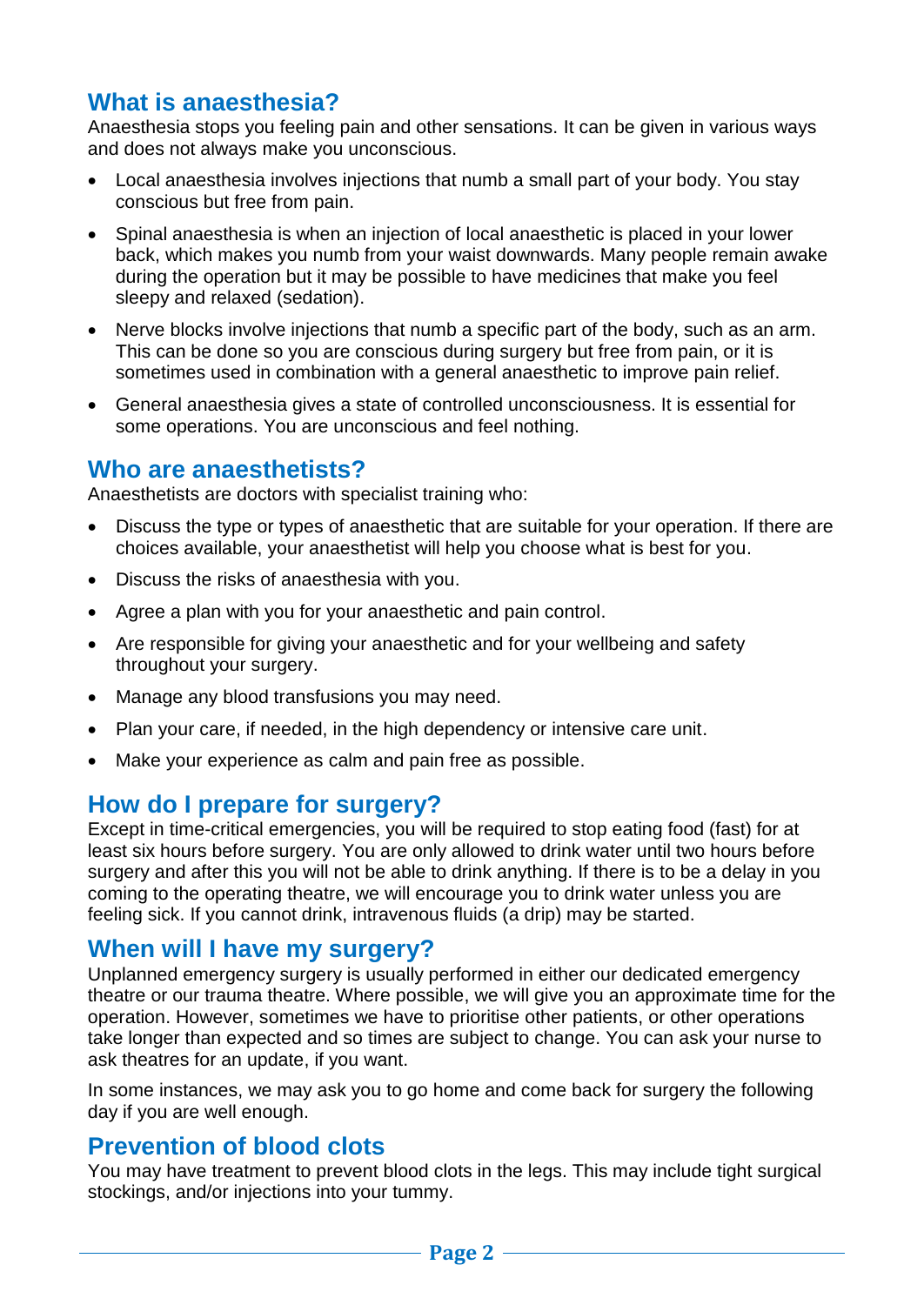# **What is anaesthesia?**

Anaesthesia stops you feeling pain and other sensations. It can be given in various ways and does not always make you unconscious.

- Local anaesthesia involves injections that numb a small part of your body. You stay conscious but free from pain.
- Spinal anaesthesia is when an injection of local anaesthetic is placed in your lower back, which makes you numb from your waist downwards. Many people remain awake during the operation but it may be possible to have medicines that make you feel sleepy and relaxed (sedation).
- Nerve blocks involve injections that numb a specific part of the body, such as an arm. This can be done so you are conscious during surgery but free from pain, or it is sometimes used in combination with a general anaesthetic to improve pain relief.
- General anaesthesia gives a state of controlled unconsciousness. It is essential for some operations. You are unconscious and feel nothing.

# **Who are anaesthetists?**

Anaesthetists are doctors with specialist training who:

- Discuss the type or types of anaesthetic that are suitable for your operation. If there are choices available, your anaesthetist will help you choose what is best for you.
- Discuss the risks of anaesthesia with you.
- Agree a plan with you for your anaesthetic and pain control.
- Are responsible for giving your anaesthetic and for your wellbeing and safety throughout your surgery.
- Manage any blood transfusions you may need.
- Plan your care, if needed, in the high dependency or intensive care unit.
- Make your experience as calm and pain free as possible.

# **How do I prepare for surgery?**

Except in time-critical emergencies, you will be required to stop eating food (fast) for at least six hours before surgery. You are only allowed to drink water until two hours before surgery and after this you will not be able to drink anything. If there is to be a delay in you coming to the operating theatre, we will encourage you to drink water unless you are feeling sick. If you cannot drink, intravenous fluids (a drip) may be started.

# **When will I have my surgery?**

Unplanned emergency surgery is usually performed in either our dedicated emergency theatre or our trauma theatre. Where possible, we will give you an approximate time for the operation. However, sometimes we have to prioritise other patients, or other operations take longer than expected and so times are subject to change. You can ask your nurse to ask theatres for an update, if you want.

In some instances, we may ask you to go home and come back for surgery the following day if you are well enough.

## **Prevention of blood clots**

You may have treatment to prevent blood clots in the legs. This may include tight surgical stockings, and/or injections into your tummy.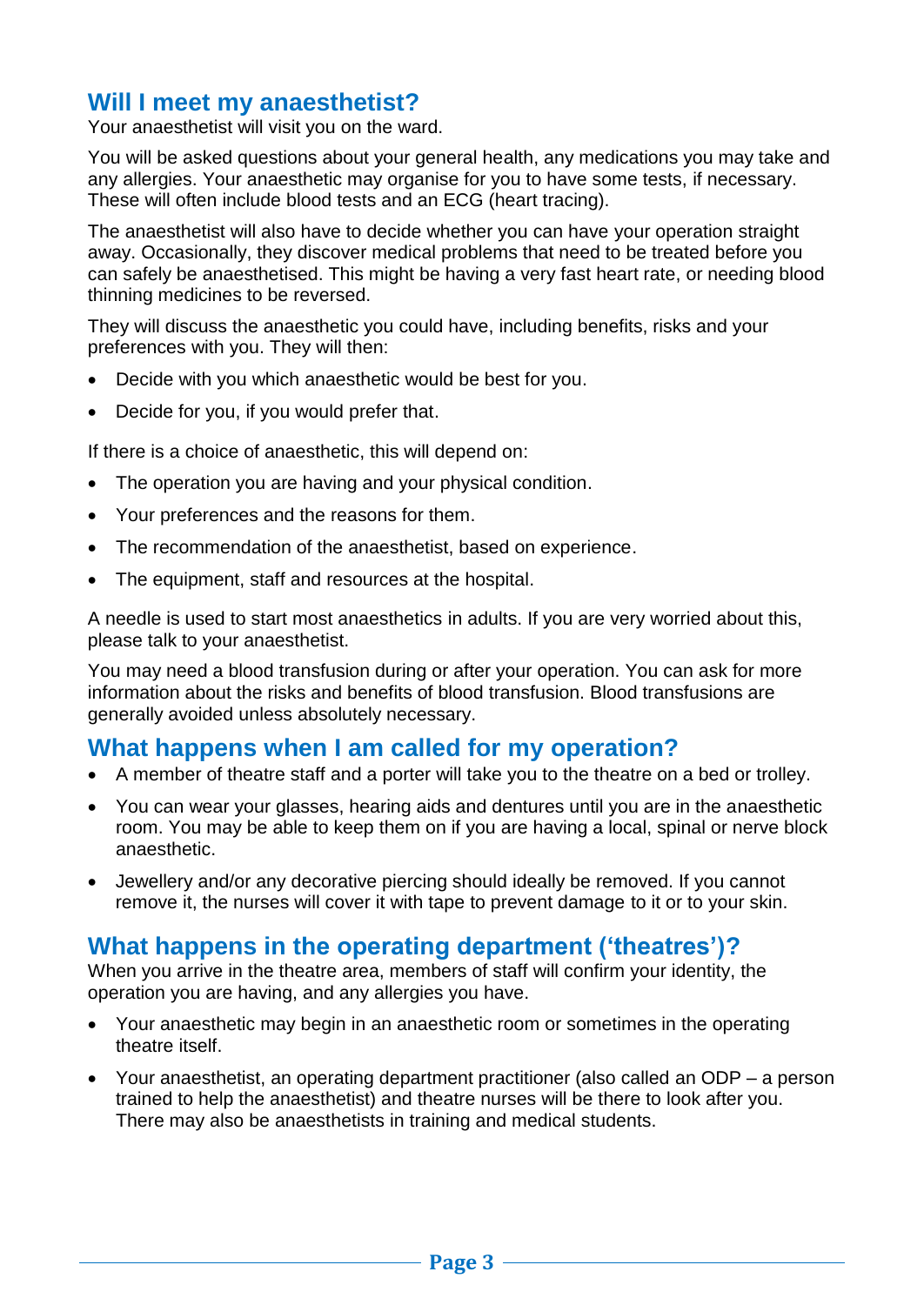# **Will I meet my anaesthetist?**

Your anaesthetist will visit you on the ward.

You will be asked questions about your general health, any medications you may take and any allergies. Your anaesthetic may organise for you to have some tests, if necessary. These will often include blood tests and an ECG (heart tracing).

The anaesthetist will also have to decide whether you can have your operation straight away. Occasionally, they discover medical problems that need to be treated before you can safely be anaesthetised. This might be having a very fast heart rate, or needing blood thinning medicines to be reversed.

They will discuss the anaesthetic you could have, including benefits, risks and your preferences with you. They will then:

- Decide with you which anaesthetic would be best for you.
- Decide for you, if you would prefer that.

If there is a choice of anaesthetic, this will depend on:

- The operation you are having and your physical condition.
- Your preferences and the reasons for them.
- The recommendation of the anaesthetist, based on experience.
- The equipment, staff and resources at the hospital.

A needle is used to start most anaesthetics in adults. If you are very worried about this, please talk to your anaesthetist.

You may need a blood transfusion during or after your operation. You can ask for more information about the risks and benefits of blood transfusion. Blood transfusions are generally avoided unless absolutely necessary.

## **What happens when I am called for my operation?**

- A member of theatre staff and a porter will take you to the theatre on a bed or trolley.
- You can wear your glasses, hearing aids and dentures until you are in the anaesthetic room. You may be able to keep them on if you are having a local, spinal or nerve block anaesthetic.
- Jewellery and/or any decorative piercing should ideally be removed. If you cannot remove it, the nurses will cover it with tape to prevent damage to it or to your skin.

# **What happens in the operating department ('theatres')?**

When you arrive in the theatre area, members of staff will confirm your identity, the operation you are having, and any allergies you have.

- Your anaesthetic may begin in an anaesthetic room or sometimes in the operating theatre itself.
- Your anaesthetist, an operating department practitioner (also called an ODP a person trained to help the anaesthetist) and theatre nurses will be there to look after you. There may also be anaesthetists in training and medical students.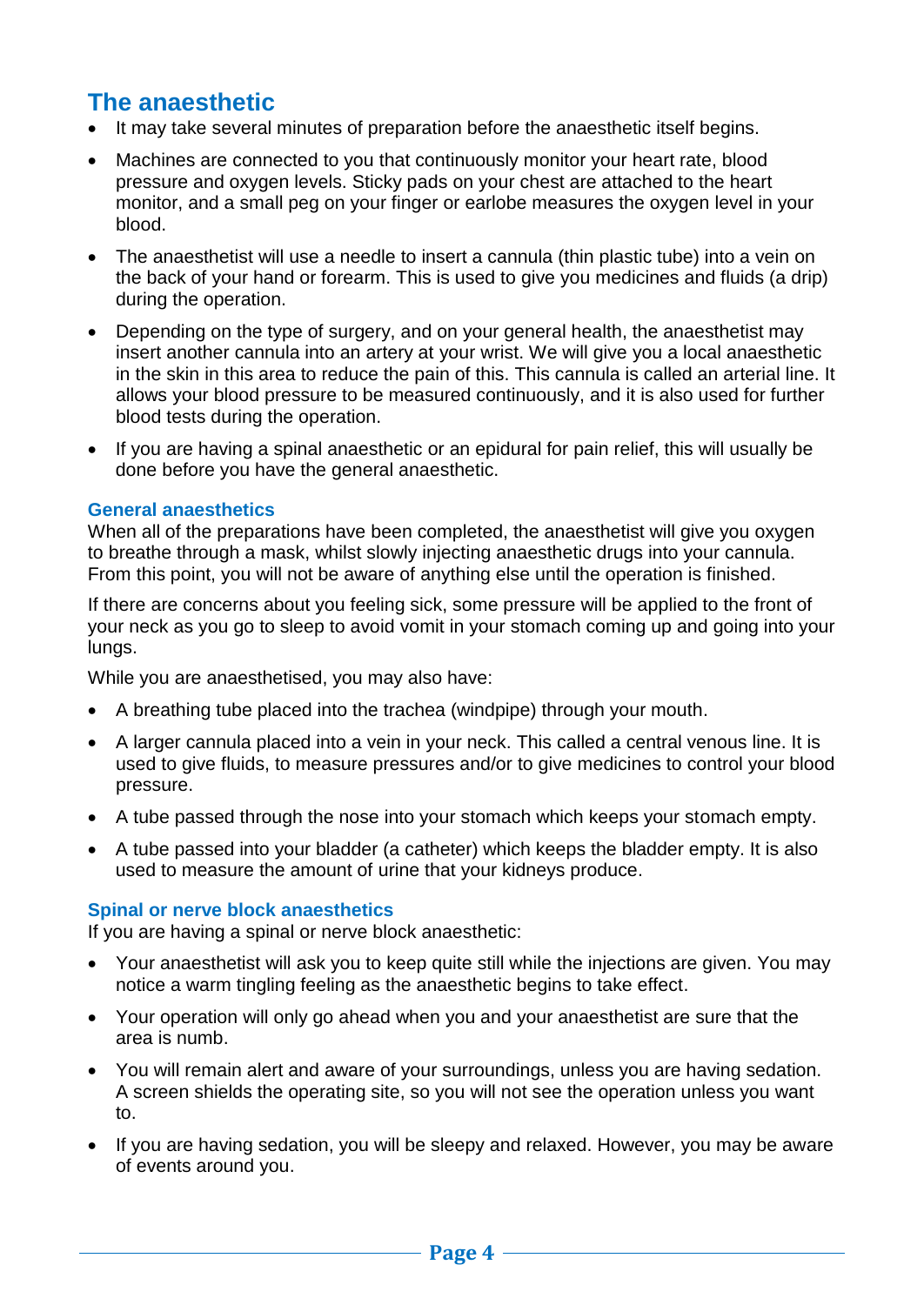# **The anaesthetic**

- It may take several minutes of preparation before the anaesthetic itself begins.
- Machines are connected to you that continuously monitor your heart rate, blood pressure and oxygen levels. Sticky pads on your chest are attached to the heart monitor, and a small peg on your finger or earlobe measures the oxygen level in your blood.
- The anaesthetist will use a needle to insert a cannula (thin plastic tube) into a vein on the back of your hand or forearm. This is used to give you medicines and fluids (a drip) during the operation.
- Depending on the type of surgery, and on your general health, the anaesthetist may insert another cannula into an artery at your wrist. We will give you a local anaesthetic in the skin in this area to reduce the pain of this. This cannula is called an arterial line. It allows your blood pressure to be measured continuously, and it is also used for further blood tests during the operation.
- If you are having a spinal anaesthetic or an epidural for pain relief, this will usually be done before you have the general anaesthetic.

#### **General anaesthetics**

When all of the preparations have been completed, the anaesthetist will give you oxygen to breathe through a mask, whilst slowly injecting anaesthetic drugs into your cannula. From this point, you will not be aware of anything else until the operation is finished.

If there are concerns about you feeling sick, some pressure will be applied to the front of your neck as you go to sleep to avoid vomit in your stomach coming up and going into your lungs.

While you are anaesthetised, you may also have:

- A breathing tube placed into the trachea (windpipe) through your mouth.
- A larger cannula placed into a vein in your neck. This called a central venous line. It is used to give fluids, to measure pressures and/or to give medicines to control your blood pressure.
- A tube passed through the nose into your stomach which keeps your stomach empty.
- A tube passed into your bladder (a catheter) which keeps the bladder empty. It is also used to measure the amount of urine that your kidneys produce.

#### **Spinal or nerve block anaesthetics**

If you are having a spinal or nerve block anaesthetic:

- Your anaesthetist will ask you to keep quite still while the injections are given. You may notice a warm tingling feeling as the anaesthetic begins to take effect.
- Your operation will only go ahead when you and your anaesthetist are sure that the area is numb.
- You will remain alert and aware of your surroundings, unless you are having sedation. A screen shields the operating site, so you will not see the operation unless you want to.
- If you are having sedation, you will be sleepy and relaxed. However, you may be aware of events around you.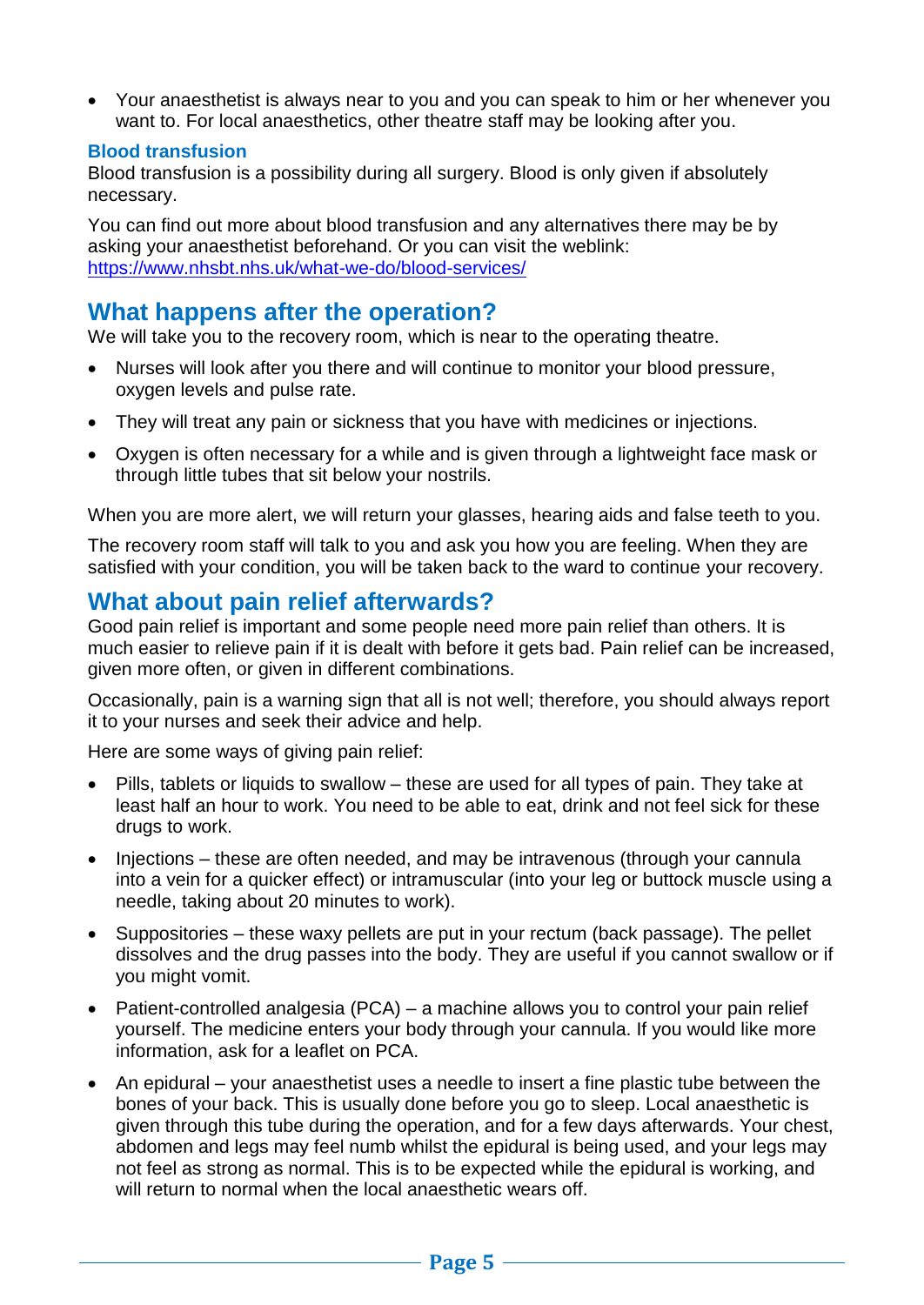Your anaesthetist is always near to you and you can speak to him or her whenever you want to. For local anaesthetics, other theatre staff may be looking after you.

#### **Blood transfusion**

Blood transfusion is a possibility during all surgery. Blood is only given if absolutely necessary.

You can find out more about blood transfusion and any alternatives there may be by asking your anaesthetist beforehand. Or you can visit the weblink: <https://www.nhsbt.nhs.uk/what-we-do/blood-services/>

# **What happens after the operation?**

We will take you to the recovery room, which is near to the operating theatre.

- Nurses will look after you there and will continue to monitor your blood pressure, oxygen levels and pulse rate.
- They will treat any pain or sickness that you have with medicines or injections.
- Oxygen is often necessary for a while and is given through a lightweight face mask or through little tubes that sit below your nostrils.

When you are more alert, we will return your glasses, hearing aids and false teeth to you.

The recovery room staff will talk to you and ask you how you are feeling. When they are satisfied with your condition, you will be taken back to the ward to continue your recovery.

# **What about pain relief afterwards?**

Good pain relief is important and some people need more pain relief than others. It is much easier to relieve pain if it is dealt with before it gets bad. Pain relief can be increased, given more often, or given in different combinations.

Occasionally, pain is a warning sign that all is not well; therefore, you should always report it to your nurses and seek their advice and help.

Here are some ways of giving pain relief:

- Pills, tablets or liquids to swallow these are used for all types of pain. They take at least half an hour to work. You need to be able to eat, drink and not feel sick for these drugs to work.
- Injections these are often needed, and may be intravenous (through your cannula into a vein for a quicker effect) or intramuscular (into your leg or buttock muscle using a needle, taking about 20 minutes to work).
- Suppositories these waxy pellets are put in your rectum (back passage). The pellet dissolves and the drug passes into the body. They are useful if you cannot swallow or if you might vomit.
- Patient-controlled analgesia (PCA) a machine allows you to control your pain relief yourself. The medicine enters your body through your cannula. If you would like more information, ask for a leaflet on PCA.
- An epidural your anaesthetist uses a needle to insert a fine plastic tube between the bones of your back. This is usually done before you go to sleep. Local anaesthetic is given through this tube during the operation, and for a few days afterwards. Your chest, abdomen and legs may feel numb whilst the epidural is being used, and your legs may not feel as strong as normal. This is to be expected while the epidural is working, and will return to normal when the local anaesthetic wears off.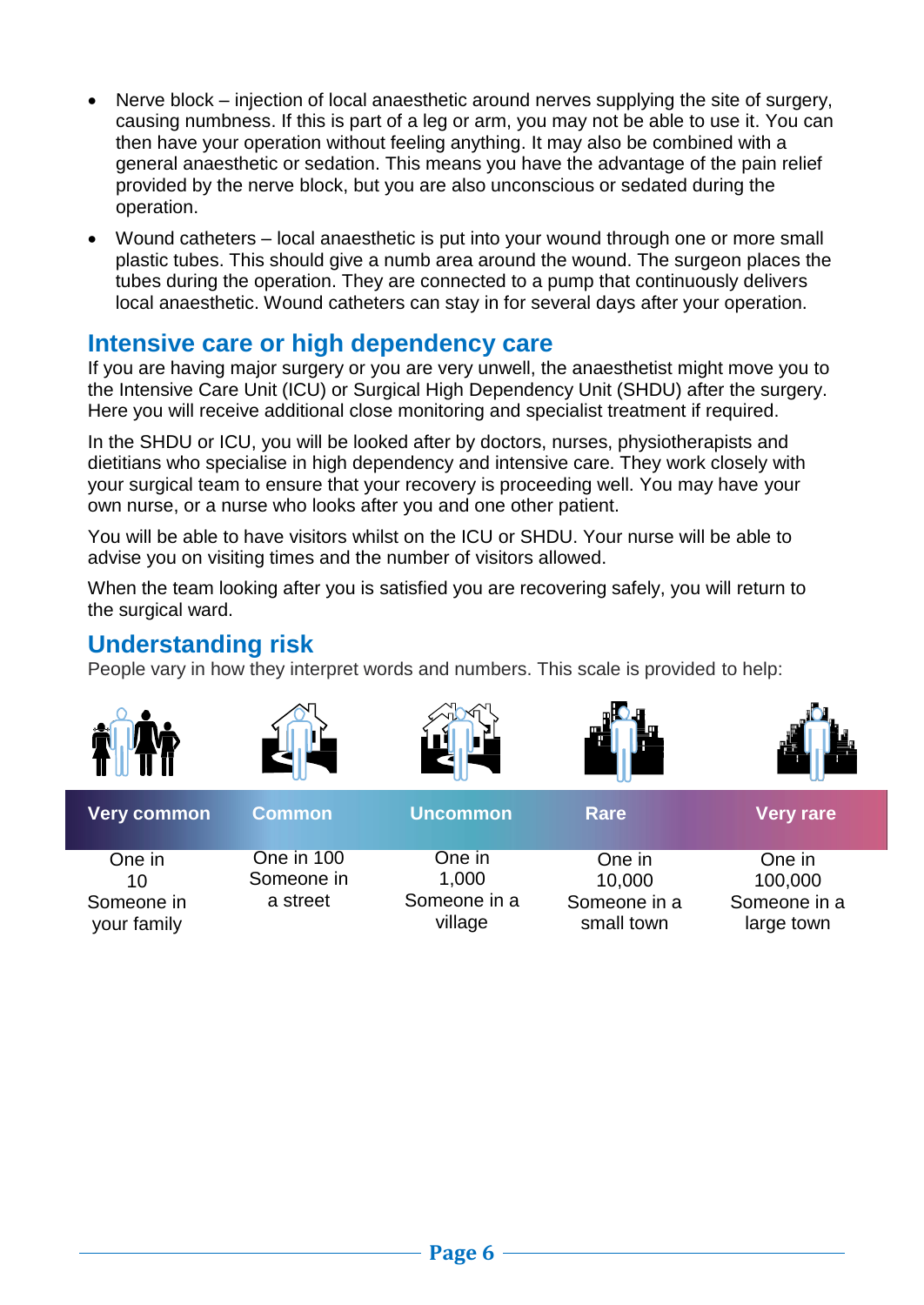- Nerve block injection of local anaesthetic around nerves supplying the site of surgery, causing numbness. If this is part of a leg or arm, you may not be able to use it. You can then have your operation without feeling anything. It may also be combined with a general anaesthetic or sedation. This means you have the advantage of the pain relief provided by the nerve block, but you are also unconscious or sedated during the operation.
- Wound catheters local anaesthetic is put into your wound through one or more small plastic tubes. This should give a numb area around the wound. The surgeon places the tubes during the operation. They are connected to a pump that continuously delivers local anaesthetic. Wound catheters can stay in for several days after your operation.

# **Intensive care or high dependency care**

If you are having major surgery or you are very unwell, the anaesthetist might move you to the Intensive Care Unit (ICU) or Surgical High Dependency Unit (SHDU) after the surgery. Here you will receive additional close monitoring and specialist treatment if required.

In the SHDU or ICU, you will be looked after by doctors, nurses, physiotherapists and dietitians who specialise in high dependency and intensive care. They work closely with your surgical team to ensure that your recovery is proceeding well. You may have your own nurse, or a nurse who looks after you and one other patient.

You will be able to have visitors whilst on the ICU or SHDU. Your nurse will be able to advise you on visiting times and the number of visitors allowed.

When the team looking after you is satisfied you are recovering safely, you will return to the surgical ward.

# **Understanding risk**

People vary in how they interpret words and numbers. This scale is provided to help:

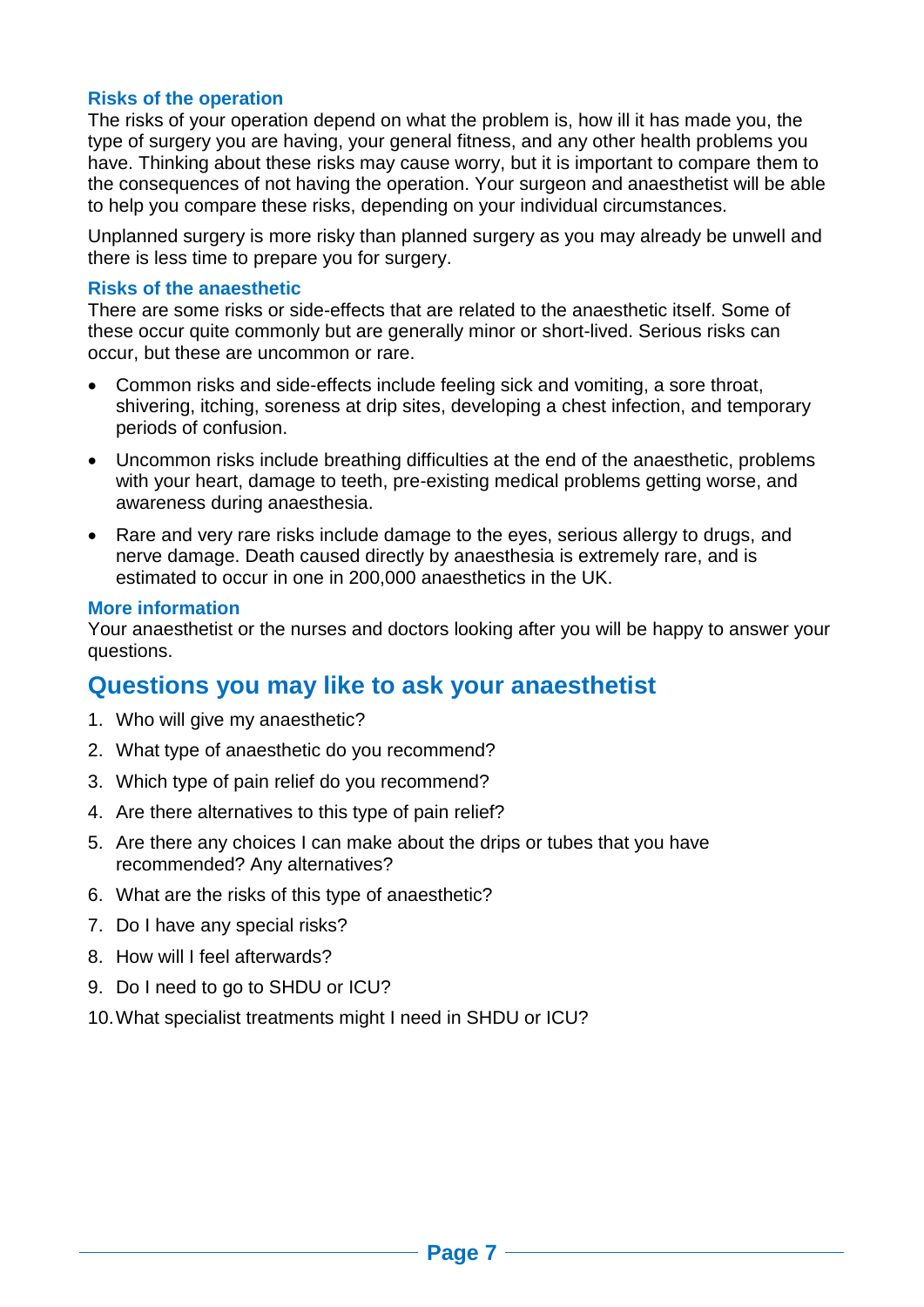#### **Risks of the operation**

The risks of your operation depend on what the problem is, how ill it has made you, the type of surgery you are having, your general fitness, and any other health problems you have. Thinking about these risks may cause worry, but it is important to compare them to the consequences of not having the operation. Your surgeon and anaesthetist will be able to help you compare these risks, depending on your individual circumstances.

Unplanned surgery is more risky than planned surgery as you may already be unwell and there is less time to prepare you for surgery.

#### **Risks of the anaesthetic**

There are some risks or side-effects that are related to the anaesthetic itself. Some of these occur quite commonly but are generally minor or short-lived. Serious risks can occur, but these are uncommon or rare.

- Common risks and side-effects include feeling sick and vomiting, a sore throat, shivering, itching, soreness at drip sites, developing a chest infection, and temporary periods of confusion.
- Uncommon risks include breathing difficulties at the end of the anaesthetic, problems with your heart, damage to teeth, pre-existing medical problems getting worse, and awareness during anaesthesia.
- Rare and very rare risks include damage to the eyes, serious allergy to drugs, and nerve damage. Death caused directly by anaesthesia is extremely rare, and is estimated to occur in one in 200,000 anaesthetics in the UK.

#### **More information**

Your anaesthetist or the nurses and doctors looking after you will be happy to answer your questions.

# **Questions you may like to ask your anaesthetist**

- 1. Who will give my anaesthetic?
- 2. What type of anaesthetic do you recommend?
- 3. Which type of pain relief do you recommend?
- 4. Are there alternatives to this type of pain relief?
- 5. Are there any choices I can make about the drips or tubes that you have recommended? Any alternatives?
- 6. What are the risks of this type of anaesthetic?
- 7. Do I have any special risks?
- 8. How will I feel afterwards?
- 9. Do I need to go to SHDU or ICU?
- 10.What specialist treatments might I need in SHDU or ICU?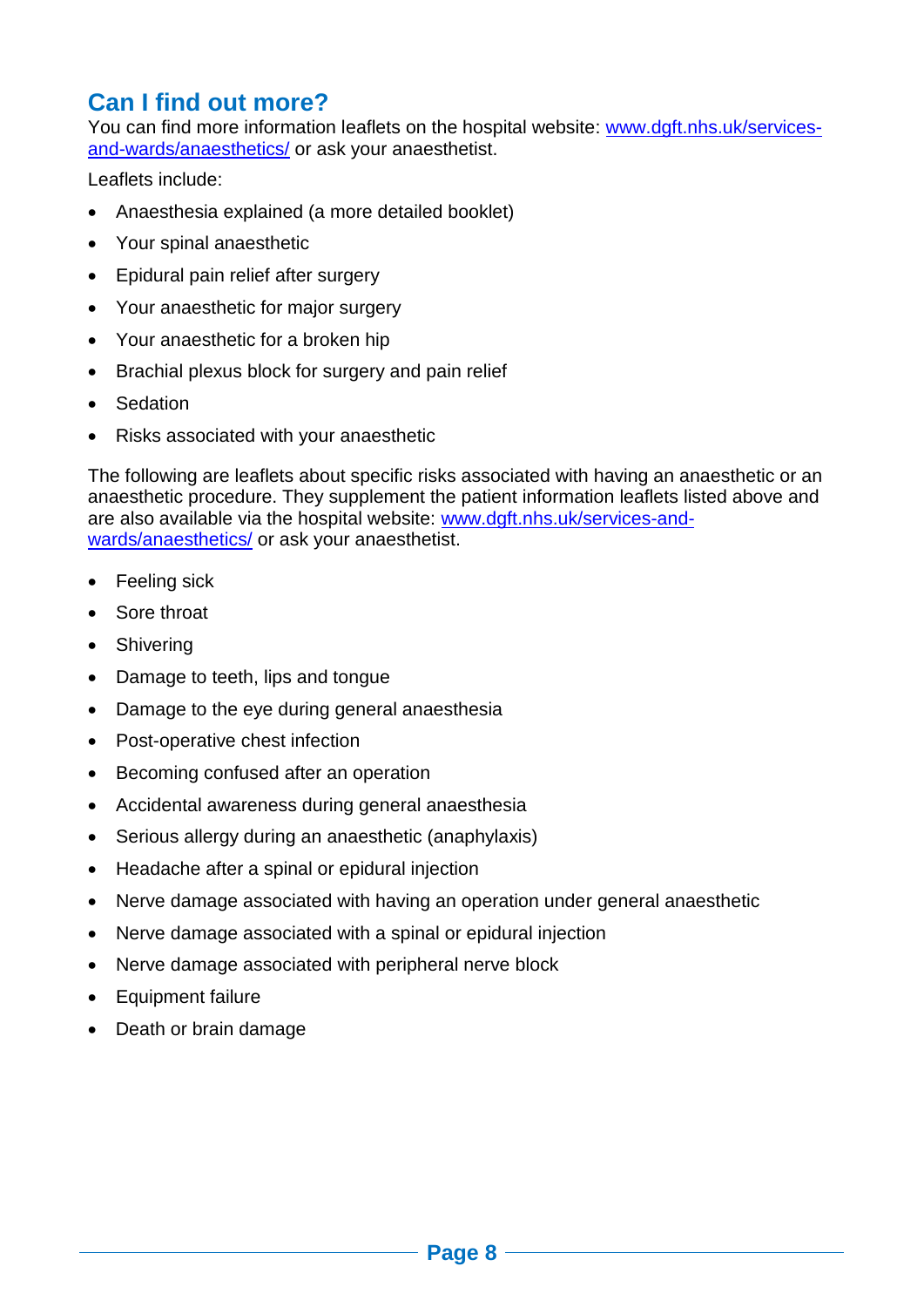# **Can I find out more?**

You can find more information leaflets on the hospital website: [www.dgft.nhs.uk/services](http://www.dgft.nhs.uk/services-and-wards/anaesthetics/)[and-wards/anaesthetics/](http://www.dgft.nhs.uk/services-and-wards/anaesthetics/) or ask your anaesthetist.

Leaflets include:

- Anaesthesia explained (a more detailed booklet)
- Your spinal anaesthetic
- Epidural pain relief after surgery
- Your anaesthetic for major surgery
- Your anaesthetic for a broken hip
- Brachial plexus block for surgery and pain relief
- Sedation
- Risks associated with your anaesthetic

The following are leaflets about specific risks associated with having an anaesthetic or an anaesthetic procedure. They supplement the patient information leaflets listed above and are also available via the hospital website: [www.dgft.nhs.uk/services-and](http://www.dgft.nhs.uk/services-and-wards/anaesthetics/)[wards/anaesthetics/](http://www.dgft.nhs.uk/services-and-wards/anaesthetics/) or ask your anaesthetist.

- Feeling sick
- Sore throat
- Shivering
- Damage to teeth, lips and tongue
- Damage to the eye during general anaesthesia
- Post-operative chest infection
- Becoming confused after an operation
- Accidental awareness during general anaesthesia
- Serious allergy during an anaesthetic (anaphylaxis)
- Headache after a spinal or epidural injection
- Nerve damage associated with having an operation under general anaesthetic
- Nerve damage associated with a spinal or epidural injection
- Nerve damage associated with peripheral nerve block
- Equipment failure
- Death or brain damage